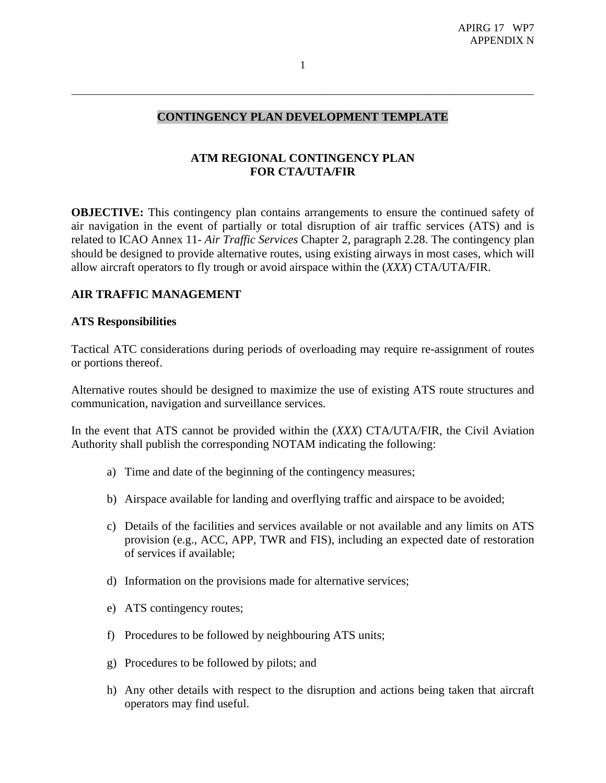# **CONTINGENCY PLAN DEVELOPMENT TEMPLATE**

\_\_\_\_\_\_\_\_\_\_\_\_\_\_\_\_\_\_\_\_\_\_\_\_\_\_\_\_\_\_\_\_\_\_\_\_\_\_\_\_\_\_\_\_\_\_\_\_\_\_\_\_\_\_\_\_\_\_\_\_\_\_\_\_\_\_\_\_\_\_\_\_\_\_\_\_\_\_\_\_\_\_\_\_\_

# **ATM REGIONAL CONTINGENCY PLAN FOR CTA/UTA/FIR**

**OBJECTIVE:** This contingency plan contains arrangements to ensure the continued safety of air navigation in the event of partially or total disruption of air traffic services (ATS) and is related to ICAO Annex 11- *Air Traffic Services* Chapter 2, paragraph 2.28. The contingency plan should be designed to provide alternative routes, using existing airways in most cases, which will allow aircraft operators to fly trough or avoid airspace within the (*XXX*) CTA/UTA/FIR.

## **AIR TRAFFIC MANAGEMENT**

#### **ATS Responsibilities**

Tactical ATC considerations during periods of overloading may require re-assignment of routes or portions thereof.

Alternative routes should be designed to maximize the use of existing ATS route structures and communication, navigation and surveillance services.

In the event that ATS cannot be provided within the (*XXX*) CTA/UTA/FIR, the Civil Aviation Authority shall publish the corresponding NOTAM indicating the following:

- a) Time and date of the beginning of the contingency measures;
- b) Airspace available for landing and overflying traffic and airspace to be avoided;
- c) Details of the facilities and services available or not available and any limits on ATS provision (e.g., ACC, APP, TWR and FIS), including an expected date of restoration of services if available;
- d) Information on the provisions made for alternative services;
- e) ATS contingency routes;
- f) Procedures to be followed by neighbouring ATS units;
- g) Procedures to be followed by pilots; and
- h) Any other details with respect to the disruption and actions being taken that aircraft operators may find useful.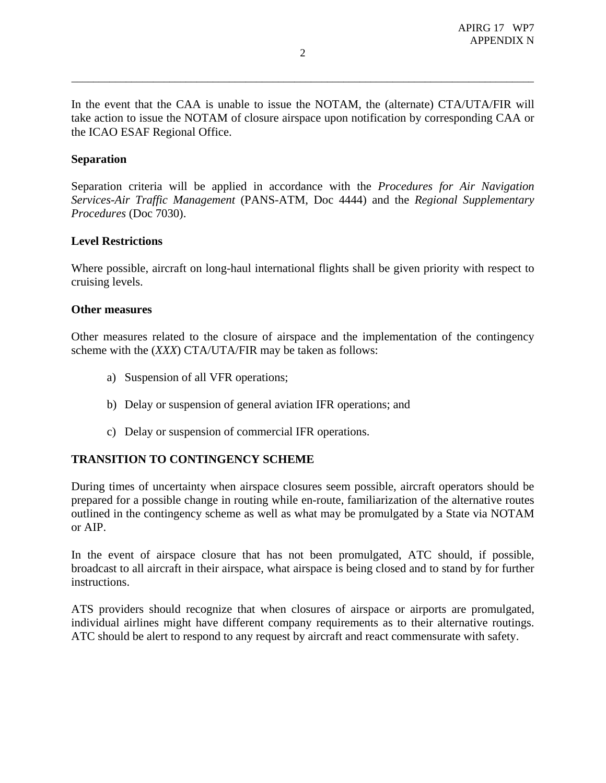In the event that the CAA is unable to issue the NOTAM, the (alternate) CTA/UTA/FIR will take action to issue the NOTAM of closure airspace upon notification by corresponding CAA or the ICAO ESAF Regional Office.

### **Separation**

Separation criteria will be applied in accordance with the *Procedures for Air Navigation Services-Air Traffic Management* (PANS-ATM, Doc 4444) and the *Regional Supplementary Procedures* (Doc 7030).

#### **Level Restrictions**

Where possible, aircraft on long-haul international flights shall be given priority with respect to cruising levels.

#### **Other measures**

Other measures related to the closure of airspace and the implementation of the contingency scheme with the (*XXX*) CTA/UTA/FIR may be taken as follows:

- a) Suspension of all VFR operations;
- b) Delay or suspension of general aviation IFR operations; and
- c) Delay or suspension of commercial IFR operations.

### **TRANSITION TO CONTINGENCY SCHEME**

During times of uncertainty when airspace closures seem possible, aircraft operators should be prepared for a possible change in routing while en-route, familiarization of the alternative routes outlined in the contingency scheme as well as what may be promulgated by a State via NOTAM or AIP.

In the event of airspace closure that has not been promulgated, ATC should, if possible, broadcast to all aircraft in their airspace, what airspace is being closed and to stand by for further instructions.

ATS providers should recognize that when closures of airspace or airports are promulgated, individual airlines might have different company requirements as to their alternative routings. ATC should be alert to respond to any request by aircraft and react commensurate with safety.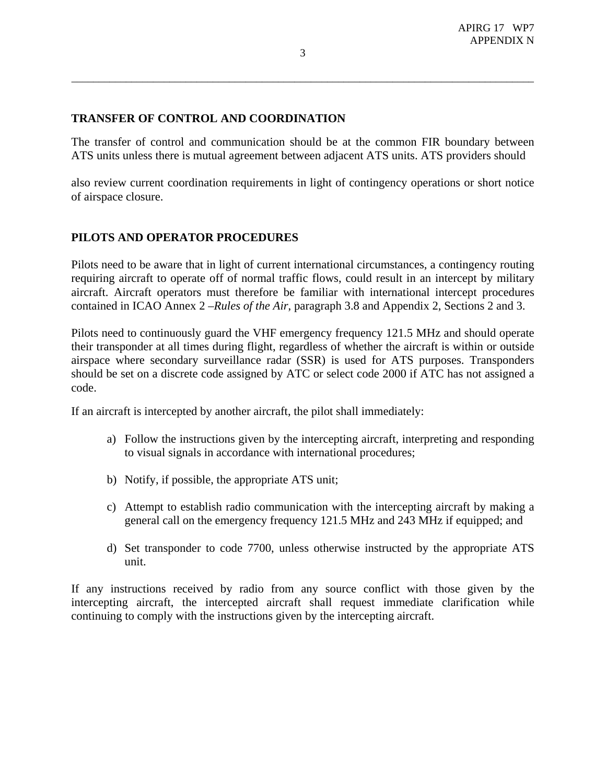## **TRANSFER OF CONTROL AND COORDINATION**

The transfer of control and communication should be at the common FIR boundary between ATS units unless there is mutual agreement between adjacent ATS units. ATS providers should

also review current coordination requirements in light of contingency operations or short notice of airspace closure.

# **PILOTS AND OPERATOR PROCEDURES**

Pilots need to be aware that in light of current international circumstances, a contingency routing requiring aircraft to operate off of normal traffic flows, could result in an intercept by military aircraft. Aircraft operators must therefore be familiar with international intercept procedures contained in ICAO Annex 2 –*Rules of the Air*, paragraph 3.8 and Appendix 2, Sections 2 and 3.

Pilots need to continuously guard the VHF emergency frequency 121.5 MHz and should operate their transponder at all times during flight, regardless of whether the aircraft is within or outside airspace where secondary surveillance radar (SSR) is used for ATS purposes. Transponders should be set on a discrete code assigned by ATC or select code 2000 if ATC has not assigned a code.

If an aircraft is intercepted by another aircraft, the pilot shall immediately:

- a) Follow the instructions given by the intercepting aircraft, interpreting and responding to visual signals in accordance with international procedures;
- b) Notify, if possible, the appropriate ATS unit;
- c) Attempt to establish radio communication with the intercepting aircraft by making a general call on the emergency frequency 121.5 MHz and 243 MHz if equipped; and
- d) Set transponder to code 7700, unless otherwise instructed by the appropriate ATS unit.

If any instructions received by radio from any source conflict with those given by the intercepting aircraft, the intercepted aircraft shall request immediate clarification while continuing to comply with the instructions given by the intercepting aircraft.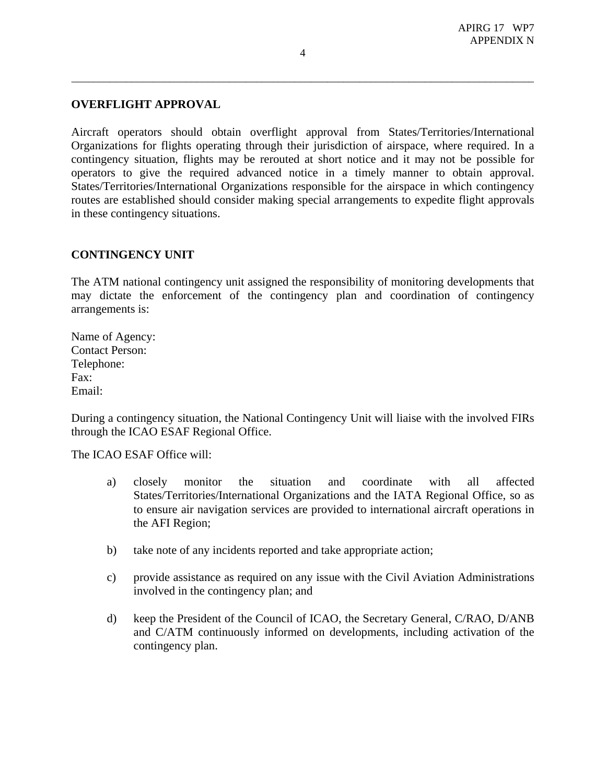### **OVERFLIGHT APPROVAL**

Aircraft operators should obtain overflight approval from States/Territories/International Organizations for flights operating through their jurisdiction of airspace, where required. In a contingency situation, flights may be rerouted at short notice and it may not be possible for operators to give the required advanced notice in a timely manner to obtain approval. States/Territories/International Organizations responsible for the airspace in which contingency routes are established should consider making special arrangements to expedite flight approvals in these contingency situations.

### **CONTINGENCY UNIT**

The ATM national contingency unit assigned the responsibility of monitoring developments that may dictate the enforcement of the contingency plan and coordination of contingency arrangements is:

Name of Agency: Contact Person: Telephone: Fax: Email:

During a contingency situation, the National Contingency Unit will liaise with the involved FIRs through the ICAO ESAF Regional Office.

The ICAO ESAF Office will:

- a) closely monitor the situation and coordinate with all affected States/Territories/International Organizations and the IATA Regional Office, so as to ensure air navigation services are provided to international aircraft operations in the AFI Region;
- b) take note of any incidents reported and take appropriate action;
- c) provide assistance as required on any issue with the Civil Aviation Administrations involved in the contingency plan; and
- d) keep the President of the Council of ICAO, the Secretary General, C/RAO, D/ANB and C/ATM continuously informed on developments, including activation of the contingency plan.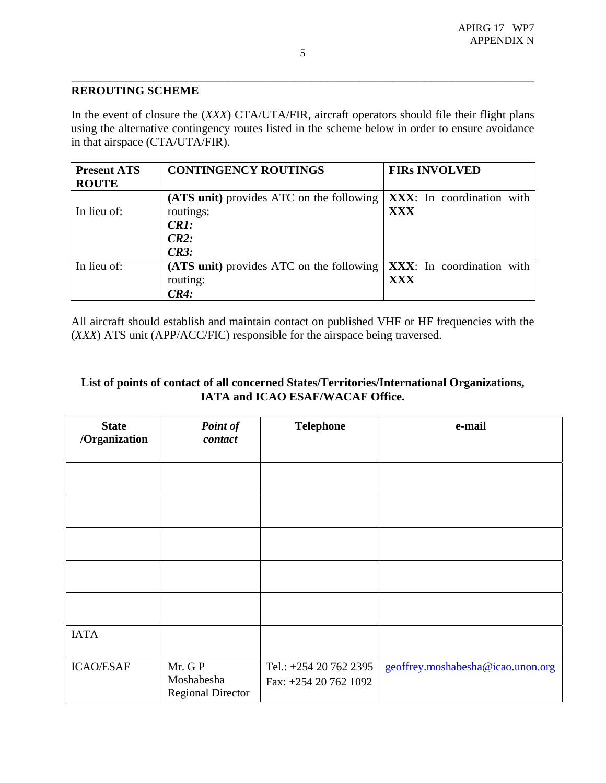## **REROUTING SCHEME**

In the event of closure the (*XXX*) CTA/UTA/FIR, aircraft operators should file their flight plans using the alternative contingency routes listed in the scheme below in order to ensure avoidance in that airspace (CTA/UTA/FIR).

| <b>Present ATS</b> | <b>CONTINGENCY ROUTINGS</b>              | <b>FIRS INVOLVED</b>      |  |
|--------------------|------------------------------------------|---------------------------|--|
| <b>ROUTE</b>       |                                          |                           |  |
|                    | (ATS unit) provides ATC on the following | XXX: In coordination with |  |
| In lieu of:        | routings:                                | <b>XXX</b>                |  |
|                    | CR1:                                     |                           |  |
|                    | CR2:                                     |                           |  |
|                    | CR3:                                     |                           |  |
| In lieu of:        | (ATS unit) provides ATC on the following | XXX: In coordination with |  |
|                    | routing:                                 | XXX                       |  |
|                    | CR4:                                     |                           |  |

All aircraft should establish and maintain contact on published VHF or HF frequencies with the (*XXX*) ATS unit (APP/ACC/FIC) responsible for the airspace being traversed.

# **List of points of contact of all concerned States/Territories/International Organizations, IATA and ICAO ESAF/WACAF Office.**

| <b>State</b><br>/Organization | Point of<br>contact                              | <b>Telephone</b>                                | e-mail                            |
|-------------------------------|--------------------------------------------------|-------------------------------------------------|-----------------------------------|
|                               |                                                  |                                                 |                                   |
|                               |                                                  |                                                 |                                   |
|                               |                                                  |                                                 |                                   |
|                               |                                                  |                                                 |                                   |
|                               |                                                  |                                                 |                                   |
| <b>IATA</b>                   |                                                  |                                                 |                                   |
| <b>ICAO/ESAF</b>              | Mr. GP<br>Moshabesha<br><b>Regional Director</b> | Tel.: +254 20 762 2395<br>Fax: +254 20 762 1092 | geoffrey.moshabesha@icao.unon.org |